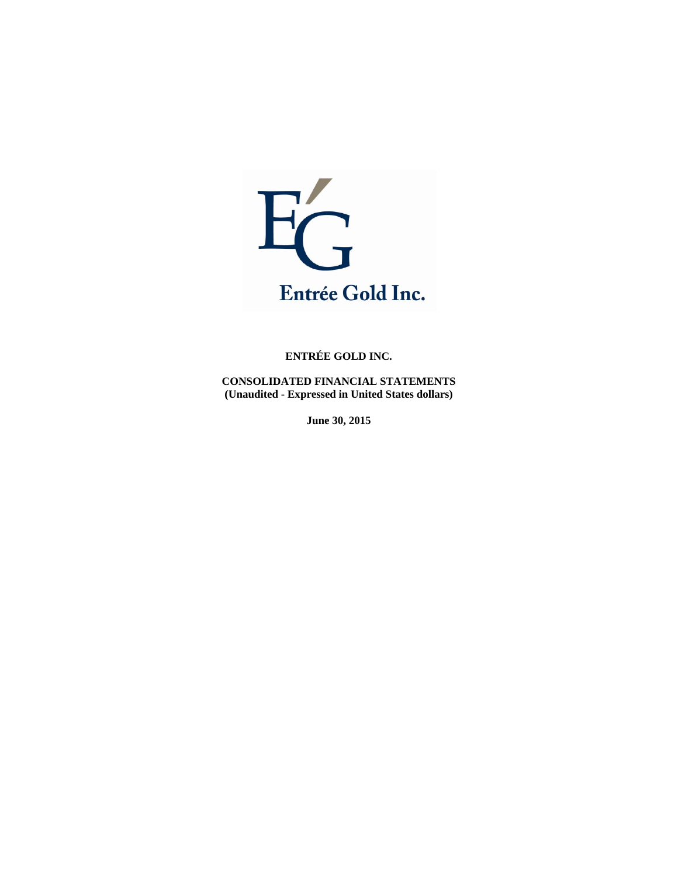

**CONSOLIDATED FINANCIAL STATEMENTS (Unaudited - Expressed in United States dollars)** 

**June 30, 2015**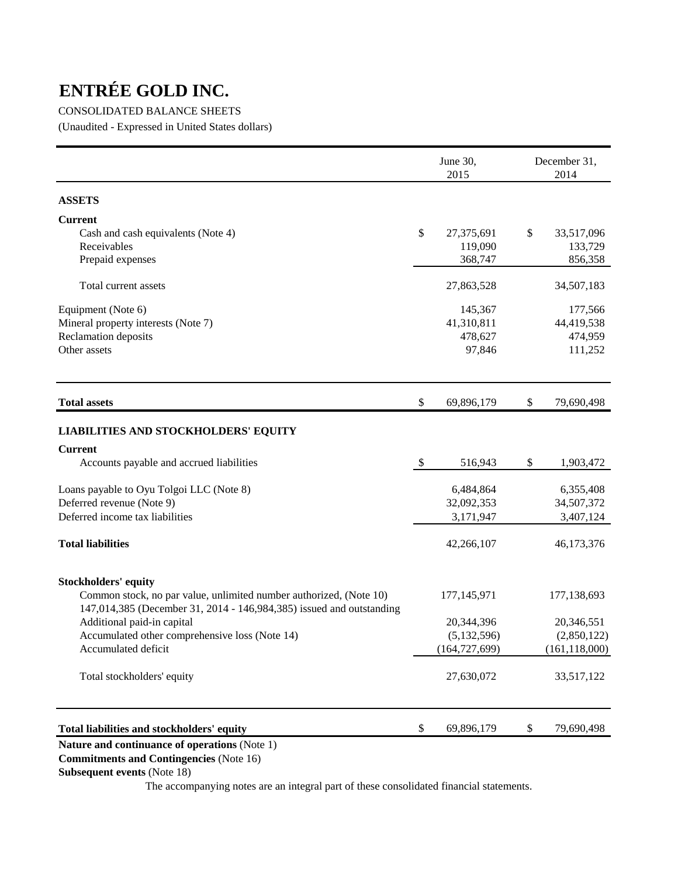# CONSOLIDATED BALANCE SHEETS

(Unaudited - Expressed in United States dollars)

|                                                                      |                           | June 30,<br>2015 | December 31,<br>2014 |
|----------------------------------------------------------------------|---------------------------|------------------|----------------------|
| <b>ASSETS</b>                                                        |                           |                  |                      |
| <b>Current</b>                                                       |                           |                  |                      |
| Cash and cash equivalents (Note 4)                                   | \$                        | 27,375,691       | \$<br>33,517,096     |
| Receivables                                                          |                           | 119,090          | 133,729              |
| Prepaid expenses                                                     |                           | 368,747          | 856,358              |
| Total current assets                                                 |                           | 27,863,528       | 34,507,183           |
| Equipment (Note 6)                                                   |                           | 145,367          | 177,566              |
| Mineral property interests (Note 7)                                  |                           | 41,310,811       | 44,419,538           |
| Reclamation deposits                                                 |                           | 478,627          | 474,959              |
| Other assets                                                         |                           | 97,846           | 111,252              |
| <b>Total assets</b>                                                  | \$                        | 69,896,179       | \$<br>79,690,498     |
| <b>LIABILITIES AND STOCKHOLDERS' EQUITY</b>                          |                           |                  |                      |
| <b>Current</b>                                                       |                           |                  |                      |
| Accounts payable and accrued liabilities                             | $\boldsymbol{\mathsf{S}}$ | 516,943          | \$<br>1,903,472      |
| Loans payable to Oyu Tolgoi LLC (Note 8)                             |                           | 6,484,864        | 6,355,408            |
| Deferred revenue (Note 9)                                            |                           | 32,092,353       | 34,507,372           |
| Deferred income tax liabilities                                      |                           | 3,171,947        | 3,407,124            |
| <b>Total liabilities</b>                                             |                           | 42,266,107       | 46,173,376           |
| <b>Stockholders' equity</b>                                          |                           |                  |                      |
| Common stock, no par value, unlimited number authorized, (Note 10)   |                           | 177, 145, 971    | 177,138,693          |
| 147,014,385 (December 31, 2014 - 146,984,385) issued and outstanding |                           |                  |                      |
| Additional paid-in capital                                           |                           | 20,344,396       | 20,346,551           |
| Accumulated other comprehensive loss (Note 14)                       |                           | (5, 132, 596)    | (2,850,122)          |
| Accumulated deficit                                                  |                           | (164, 727, 699)  | (161, 118, 000)      |
| Total stockholders' equity                                           |                           | 27,630,072       | 33,517,122           |
| Total liabilities and stockholders' equity                           | \$                        | 69,896,179       | \$<br>79,690,498     |
|                                                                      |                           |                  |                      |

# **Nature and continuance of operations** (Note 1)

 **Commitments and Contingencies** (Note 16)

## **Subsequent events** (Note 18)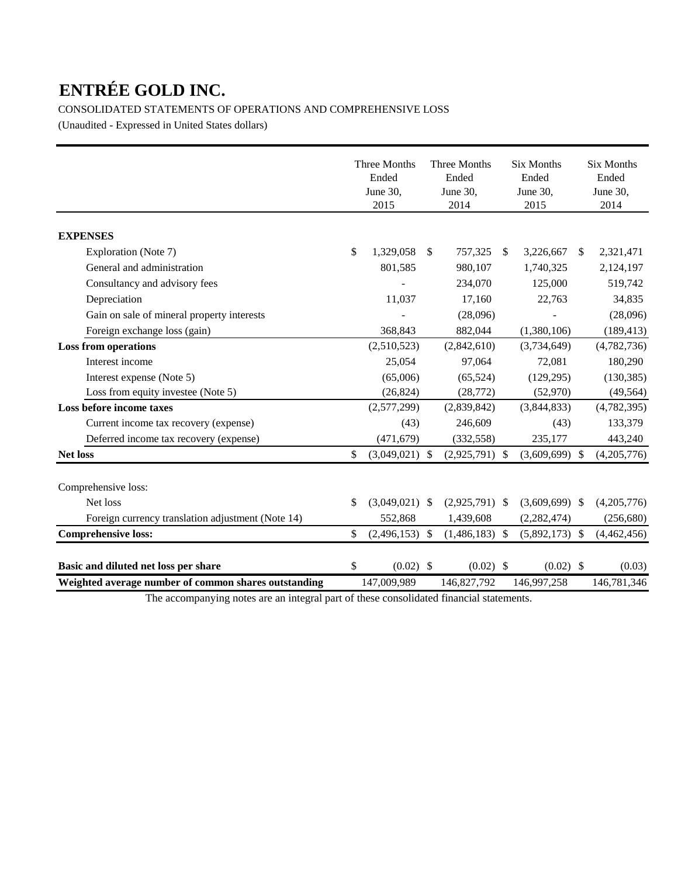# CONSOLIDATED STATEMENTS OF OPERATIONS AND COMPREHENSIVE LOSS

(Unaudited - Expressed in United States dollars)

|                                                      | Three Months<br>Ended<br>June 30,<br>2015 |               | Three Months<br>Ended<br>June 30,<br>2014 | <b>Six Months</b><br>Ended<br>June 30,<br>2015 |               | <b>Six Months</b><br>Ended<br>June 30,<br>2014 |
|------------------------------------------------------|-------------------------------------------|---------------|-------------------------------------------|------------------------------------------------|---------------|------------------------------------------------|
| <b>EXPENSES</b>                                      |                                           |               |                                           |                                                |               |                                                |
| Exploration (Note 7)                                 | \$<br>1,329,058                           | <sup>\$</sup> | 757,325                                   | \$<br>3,226,667                                | <sup>\$</sup> | 2,321,471                                      |
| General and administration                           | 801,585                                   |               | 980,107                                   | 1,740,325                                      |               | 2,124,197                                      |
| Consultancy and advisory fees                        |                                           |               | 234,070                                   | 125,000                                        |               | 519,742                                        |
| Depreciation                                         | 11,037                                    |               | 17,160                                    | 22,763                                         |               | 34,835                                         |
| Gain on sale of mineral property interests           |                                           |               | (28,096)                                  |                                                |               | (28,096)                                       |
| Foreign exchange loss (gain)                         | 368,843                                   |               | 882,044                                   | (1,380,106)                                    |               | (189, 413)                                     |
| <b>Loss from operations</b>                          | (2,510,523)                               |               | (2,842,610)                               | (3,734,649)                                    |               | (4,782,736)                                    |
| Interest income                                      | 25,054                                    |               | 97,064                                    | 72,081                                         |               | 180,290                                        |
| Interest expense (Note 5)                            | (65,006)                                  |               | (65, 524)                                 | (129, 295)                                     |               | (130, 385)                                     |
| Loss from equity investee (Note 5)                   | (26, 824)                                 |               | (28, 772)                                 | (52,970)                                       |               | (49, 564)                                      |
| Loss before income taxes                             | (2,577,299)                               |               | (2,839,842)                               | (3,844,833)                                    |               | (4,782,395)                                    |
| Current income tax recovery (expense)                | (43)                                      |               | 246,609                                   | (43)                                           |               | 133,379                                        |
| Deferred income tax recovery (expense)               | (471, 679)                                |               | (332, 558)                                | 235,177                                        |               | 443,240                                        |
| <b>Net loss</b>                                      | \$<br>$(3,049,021)$ \$                    |               | $(2,925,791)$ \$                          | $(3,609,699)$ \$                               |               | (4,205,776)                                    |
| Comprehensive loss:                                  |                                           |               |                                           |                                                |               |                                                |
| Net loss                                             | \$<br>$(3,049,021)$ \$                    |               | $(2,925,791)$ \$                          | $(3,609,699)$ \$                               |               | (4,205,776)                                    |
| Foreign currency translation adjustment (Note 14)    | 552,868                                   |               | 1,439,608                                 | (2, 282, 474)                                  |               | (256, 680)                                     |
| <b>Comprehensive loss:</b>                           | \$<br>$(2,496,153)$ \$                    |               | $(1,486,183)$ \$                          | $(5,892,173)$ \$                               |               | (4,462,456)                                    |
| Basic and diluted net loss per share                 | \$<br>$(0.02)$ \$                         |               | $(0.02)$ \$                               | $(0.02)$ \$                                    |               | (0.03)                                         |
| Weighted average number of common shares outstanding | 147,009,989                               |               | 146,827,792                               | 146,997,258                                    |               | 146,781,346                                    |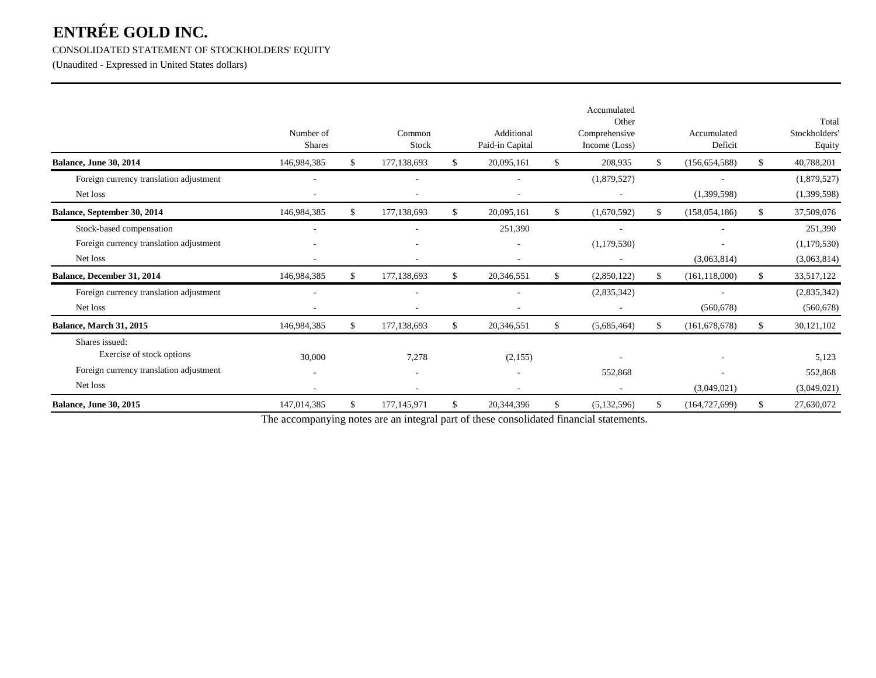#### CONSOLIDATED STATEMENT OF STOCKHOLDERS' EQUITY

(Unaudited - Expressed in United States dollars)

|                                         | Number of<br>Shares |               | Common<br>Stock |     | Additional<br>Paid-in Capital | Accumulated<br>Other<br>Comprehensive<br>Income (Loss) |     | Accumulated<br>Deficit |     | Total<br>Stockholders<br>Equity |
|-----------------------------------------|---------------------|---------------|-----------------|-----|-------------------------------|--------------------------------------------------------|-----|------------------------|-----|---------------------------------|
| <b>Balance, June 30, 2014</b>           | 146,984,385         | <sup>S</sup>  | 177,138,693     | \$  | 20,095,161                    | \$<br>208,935                                          | \$  | (156, 654, 588)        | \$. | 40,788,201                      |
| Foreign currency translation adjustment |                     |               |                 |     |                               | (1,879,527)                                            |     |                        |     | (1,879,527)                     |
| Net loss                                |                     |               |                 |     |                               |                                                        |     | (1,399,598)            |     | (1,399,598)                     |
| Balance, September 30, 2014             | 146,984,385         | <sup>\$</sup> | 177,138,693     | \$  | 20,095,161                    | \$<br>(1,670,592)                                      | \$. | (158, 054, 186)        | \$. | 37,509,076                      |
| Stock-based compensation                |                     |               |                 |     | 251,390                       |                                                        |     |                        |     | 251,390                         |
| Foreign currency translation adjustment |                     |               |                 |     |                               | (1,179,530)                                            |     |                        |     | (1,179,530)                     |
| Net loss                                |                     |               |                 |     |                               | $\overline{\phantom{a}}$                               |     | (3,063,814)            |     | (3,063,814)                     |
| Balance, December 31, 2014              | 146,984,385         | <sup>\$</sup> | 177,138,693     | \$  | 20,346,551                    | \$<br>(2,850,122)                                      | \$  | (161, 118, 000)        | -S  | 33,517,122                      |
| Foreign currency translation adjustment |                     |               |                 |     |                               | (2,835,342)                                            |     |                        |     | (2,835,342)                     |
| Net loss                                |                     |               |                 |     |                               |                                                        |     | (560, 678)             |     | (560, 678)                      |
| <b>Balance, March 31, 2015</b>          | 146,984,385         | <sup>\$</sup> | 177, 138, 693   | \$. | 20,346,551                    | \$<br>(5,685,464)                                      | S.  | (161, 678, 678)        | S.  | 30,121,102                      |
| Shares issued:                          |                     |               |                 |     |                               |                                                        |     |                        |     |                                 |
| Exercise of stock options               | 30,000              |               | 7,278           |     | (2,155)                       |                                                        |     |                        |     | 5,123                           |
| Foreign currency translation adjustment |                     |               |                 |     |                               | 552,868                                                |     |                        |     | 552,868                         |
| Net loss                                |                     |               |                 |     |                               |                                                        |     | (3,049,021)            |     | (3,049,021)                     |
| <b>Balance, June 30, 2015</b>           | 147,014,385         | \$            | 177,145,971     | \$  | 20,344,396                    | \$<br>(5,132,596)                                      | \$  | (164, 727, 699)        | \$  | 27,630,072                      |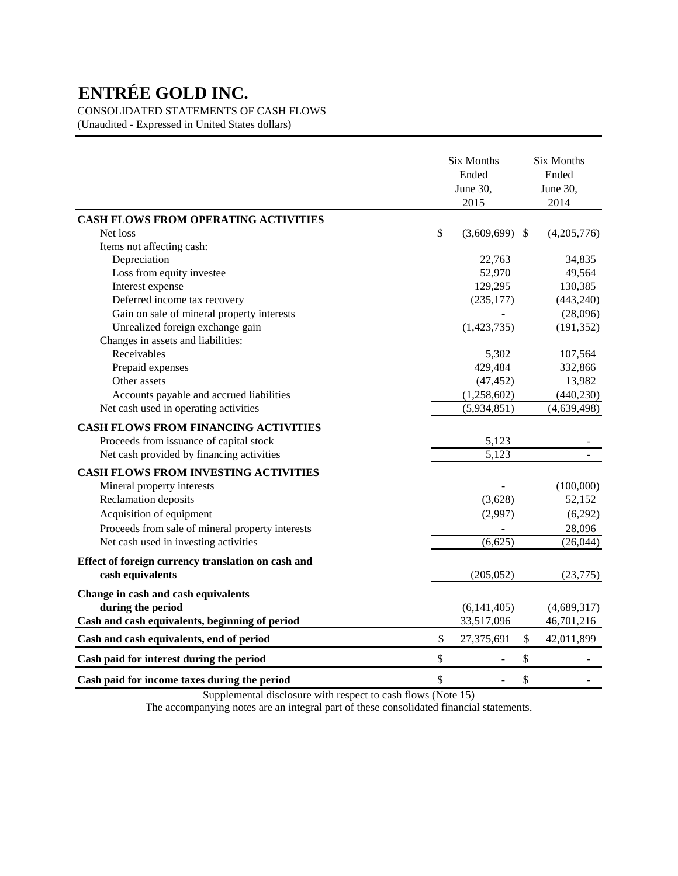CONSOLIDATED STATEMENTS OF CASH FLOWS

(Unaudited - Expressed in United States dollars)

|                                                    |              | <b>Six Months</b><br>Ended<br>June 30,<br>2015 | <b>Six Months</b><br>Ended<br>June 30,<br>2014 |
|----------------------------------------------------|--------------|------------------------------------------------|------------------------------------------------|
| CASH FLOWS FROM OPERATING ACTIVITIES               |              |                                                |                                                |
| Net loss                                           | $\mathbb{S}$ | $(3,609,699)$ \$                               | (4,205,776)                                    |
| Items not affecting cash:                          |              |                                                |                                                |
| Depreciation                                       |              | 22,763                                         | 34,835                                         |
| Loss from equity investee                          |              | 52,970                                         | 49,564                                         |
| Interest expense                                   |              | 129,295                                        | 130,385                                        |
| Deferred income tax recovery                       |              | (235, 177)                                     | (443, 240)                                     |
| Gain on sale of mineral property interests         |              |                                                | (28,096)                                       |
| Unrealized foreign exchange gain                   |              | (1,423,735)                                    | (191, 352)                                     |
| Changes in assets and liabilities:                 |              |                                                |                                                |
| Receivables                                        |              | 5,302                                          | 107,564                                        |
| Prepaid expenses                                   |              | 429,484                                        | 332,866                                        |
| Other assets                                       |              | (47, 452)                                      | 13,982                                         |
| Accounts payable and accrued liabilities           |              | (1,258,602)                                    | (440, 230)                                     |
| Net cash used in operating activities              |              | (5,934,851)                                    | (4,639,498)                                    |
| <b>CASH FLOWS FROM FINANCING ACTIVITIES</b>        |              |                                                |                                                |
| Proceeds from issuance of capital stock            |              | 5,123                                          |                                                |
| Net cash provided by financing activities          |              | 5,123                                          |                                                |
| <b>CASH FLOWS FROM INVESTING ACTIVITIES</b>        |              |                                                |                                                |
| Mineral property interests                         |              |                                                | (100,000)                                      |
| Reclamation deposits                               |              | (3,628)                                        | 52,152                                         |
| Acquisition of equipment                           |              | (2,997)                                        | (6,292)                                        |
| Proceeds from sale of mineral property interests   |              |                                                | 28,096                                         |
| Net cash used in investing activities              |              | (6,625)                                        | (26, 044)                                      |
| Effect of foreign currency translation on cash and |              |                                                |                                                |
| cash equivalents                                   |              | (205, 052)                                     | (23,775)                                       |
| Change in cash and cash equivalents                |              |                                                |                                                |
| during the period                                  |              | (6, 141, 405)                                  | (4,689,317)                                    |
| Cash and cash equivalents, beginning of period     |              | 33,517,096                                     | 46,701,216                                     |
| Cash and cash equivalents, end of period           | \$           | 27,375,691                                     | \$<br>42,011,899                               |
| Cash paid for interest during the period           | \$           |                                                | \$                                             |
| Cash paid for income taxes during the period       | \$           |                                                | \$                                             |

Supplemental disclosure with respect to cash flows (Note 15)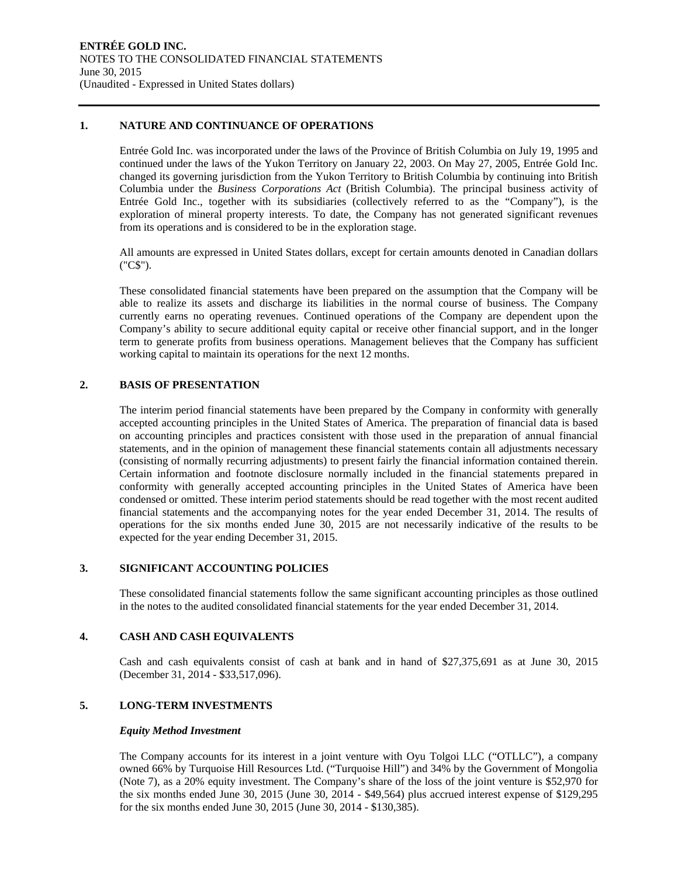#### **1. NATURE AND CONTINUANCE OF OPERATIONS**

Entrée Gold Inc. was incorporated under the laws of the Province of British Columbia on July 19, 1995 and continued under the laws of the Yukon Territory on January 22, 2003. On May 27, 2005, Entrée Gold Inc. changed its governing jurisdiction from the Yukon Territory to British Columbia by continuing into British Columbia under the *Business Corporations Act* (British Columbia). The principal business activity of Entrée Gold Inc., together with its subsidiaries (collectively referred to as the "Company"), is the exploration of mineral property interests. To date, the Company has not generated significant revenues from its operations and is considered to be in the exploration stage.

All amounts are expressed in United States dollars, except for certain amounts denoted in Canadian dollars ("C\$").

These consolidated financial statements have been prepared on the assumption that the Company will be able to realize its assets and discharge its liabilities in the normal course of business. The Company currently earns no operating revenues. Continued operations of the Company are dependent upon the Company's ability to secure additional equity capital or receive other financial support, and in the longer term to generate profits from business operations. Management believes that the Company has sufficient working capital to maintain its operations for the next 12 months.

#### **2. BASIS OF PRESENTATION**

The interim period financial statements have been prepared by the Company in conformity with generally accepted accounting principles in the United States of America. The preparation of financial data is based on accounting principles and practices consistent with those used in the preparation of annual financial statements, and in the opinion of management these financial statements contain all adjustments necessary (consisting of normally recurring adjustments) to present fairly the financial information contained therein. Certain information and footnote disclosure normally included in the financial statements prepared in conformity with generally accepted accounting principles in the United States of America have been condensed or omitted. These interim period statements should be read together with the most recent audited financial statements and the accompanying notes for the year ended December 31, 2014. The results of operations for the six months ended June 30, 2015 are not necessarily indicative of the results to be expected for the year ending December 31, 2015.

#### **3. SIGNIFICANT ACCOUNTING POLICIES**

These consolidated financial statements follow the same significant accounting principles as those outlined in the notes to the audited consolidated financial statements for the year ended December 31, 2014.

#### **4. CASH AND CASH EQUIVALENTS**

Cash and cash equivalents consist of cash at bank and in hand of \$27,375,691 as at June 30, 2015 (December 31, 2014 - \$33,517,096).

#### **5. LONG-TERM INVESTMENTS**

#### *Equity Method Investment*

The Company accounts for its interest in a joint venture with Oyu Tolgoi LLC ("OTLLC"), a company owned 66% by Turquoise Hill Resources Ltd. ("Turquoise Hill") and 34% by the Government of Mongolia (Note 7), as a 20% equity investment. The Company's share of the loss of the joint venture is \$52,970 for the six months ended June 30, 2015 (June 30, 2014 - \$49,564) plus accrued interest expense of \$129,295 for the six months ended June 30, 2015 (June 30, 2014 - \$130,385).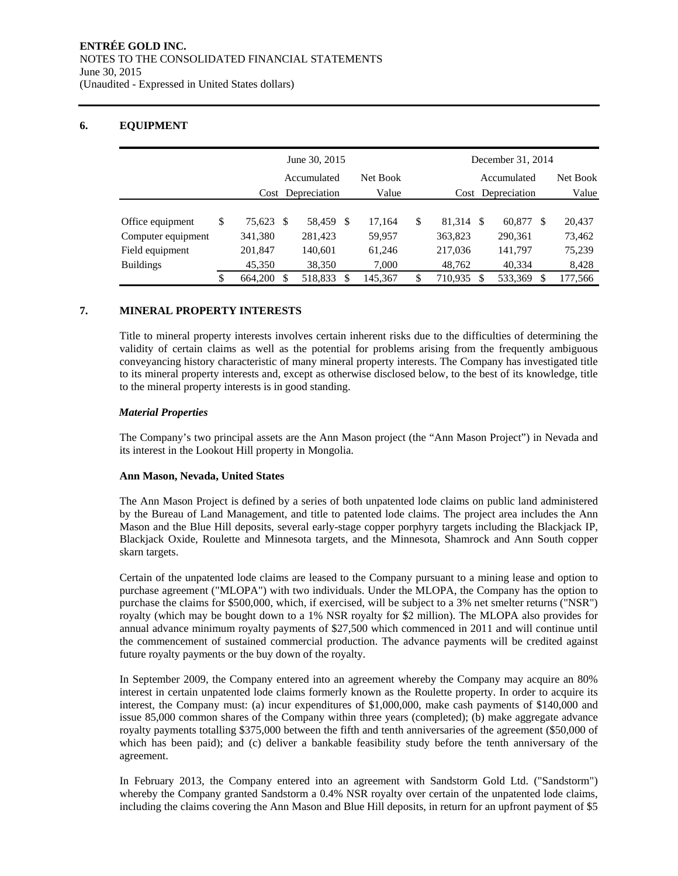### **6. EQUIPMENT**

|                    | June 30, 2015 |           |                   |         |          |         |             |                   | December 31, 2014 |         |          |         |  |  |
|--------------------|---------------|-----------|-------------------|---------|----------|---------|-------------|-------------------|-------------------|---------|----------|---------|--|--|
|                    |               |           | Accumulated       |         | Net Book |         | Accumulated |                   |                   |         | Net Book |         |  |  |
|                    |               |           | Cost Depreciation |         | Value    |         |             | Cost Depreciation |                   |         | Value    |         |  |  |
|                    |               |           |                   |         |          |         |             |                   |                   |         |          |         |  |  |
| Office equipment   | \$            | 75.623 \$ |                   | 58,459  | - \$     | 17.164  | \$          | 81.314            | -S                | 60,877  | -S       | 20,437  |  |  |
| Computer equipment |               | 341,380   |                   | 281,423 |          | 59,957  |             | 363,823           |                   | 290,361 |          | 73,462  |  |  |
| Field equipment    |               | 201,847   |                   | 140,601 |          | 61,246  |             | 217,036           |                   | 141.797 |          | 75,239  |  |  |
| <b>Buildings</b>   |               | 45,350    |                   | 38,350  |          | 7,000   |             | 48,762            |                   | 40,334  |          | 8,428   |  |  |
|                    | \$            | 664,200   | S                 | 518,833 | S        | 145,367 | \$          | 710,935           | \$.               | 533,369 | S        | 177,566 |  |  |

#### **7. MINERAL PROPERTY INTERESTS**

Title to mineral property interests involves certain inherent risks due to the difficulties of determining the validity of certain claims as well as the potential for problems arising from the frequently ambiguous conveyancing history characteristic of many mineral property interests. The Company has investigated title to its mineral property interests and, except as otherwise disclosed below, to the best of its knowledge, title to the mineral property interests is in good standing.

#### *Material Properties*

The Company's two principal assets are the Ann Mason project (the "Ann Mason Project") in Nevada and its interest in the Lookout Hill property in Mongolia.

#### **Ann Mason, Nevada, United States**

The Ann Mason Project is defined by a series of both unpatented lode claims on public land administered by the Bureau of Land Management, and title to patented lode claims. The project area includes the Ann Mason and the Blue Hill deposits, several early-stage copper porphyry targets including the Blackjack IP, Blackjack Oxide, Roulette and Minnesota targets, and the Minnesota, Shamrock and Ann South copper skarn targets.

Certain of the unpatented lode claims are leased to the Company pursuant to a mining lease and option to purchase agreement ("MLOPA") with two individuals. Under the MLOPA, the Company has the option to purchase the claims for \$500,000, which, if exercised, will be subject to a 3% net smelter returns ("NSR") royalty (which may be bought down to a 1% NSR royalty for \$2 million). The MLOPA also provides for annual advance minimum royalty payments of \$27,500 which commenced in 2011 and will continue until the commencement of sustained commercial production. The advance payments will be credited against future royalty payments or the buy down of the royalty.

In September 2009, the Company entered into an agreement whereby the Company may acquire an 80% interest in certain unpatented lode claims formerly known as the Roulette property. In order to acquire its interest, the Company must: (a) incur expenditures of \$1,000,000, make cash payments of \$140,000 and issue 85,000 common shares of the Company within three years (completed); (b) make aggregate advance royalty payments totalling \$375,000 between the fifth and tenth anniversaries of the agreement (\$50,000 of which has been paid); and (c) deliver a bankable feasibility study before the tenth anniversary of the agreement.

In February 2013, the Company entered into an agreement with Sandstorm Gold Ltd. ("Sandstorm") whereby the Company granted Sandstorm a 0.4% NSR royalty over certain of the unpatented lode claims, including the claims covering the Ann Mason and Blue Hill deposits, in return for an upfront payment of \$5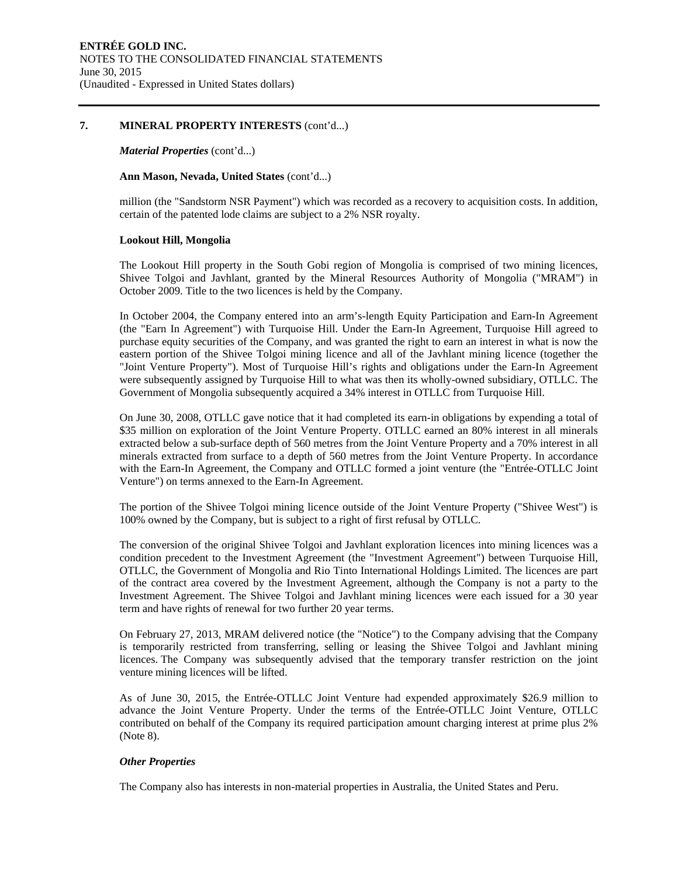#### **7. MINERAL PROPERTY INTERESTS** (cont'd...)

#### *Material Properties* (cont'd...)

#### **Ann Mason, Nevada, United States** (cont'd...)

million (the "Sandstorm NSR Payment") which was recorded as a recovery to acquisition costs. In addition, certain of the patented lode claims are subject to a 2% NSR royalty.

#### **Lookout Hill, Mongolia**

The Lookout Hill property in the South Gobi region of Mongolia is comprised of two mining licences, Shivee Tolgoi and Javhlant, granted by the Mineral Resources Authority of Mongolia ("MRAM") in October 2009. Title to the two licences is held by the Company.

In October 2004, the Company entered into an arm's-length Equity Participation and Earn-In Agreement (the "Earn In Agreement") with Turquoise Hill. Under the Earn-In Agreement, Turquoise Hill agreed to purchase equity securities of the Company, and was granted the right to earn an interest in what is now the eastern portion of the Shivee Tolgoi mining licence and all of the Javhlant mining licence (together the "Joint Venture Property"). Most of Turquoise Hill's rights and obligations under the Earn-In Agreement were subsequently assigned by Turquoise Hill to what was then its wholly-owned subsidiary, OTLLC. The Government of Mongolia subsequently acquired a 34% interest in OTLLC from Turquoise Hill.

On June 30, 2008, OTLLC gave notice that it had completed its earn-in obligations by expending a total of \$35 million on exploration of the Joint Venture Property. OTLLC earned an 80% interest in all minerals extracted below a sub-surface depth of 560 metres from the Joint Venture Property and a 70% interest in all minerals extracted from surface to a depth of 560 metres from the Joint Venture Property. In accordance with the Earn-In Agreement, the Company and OTLLC formed a joint venture (the "Entrée-OTLLC Joint Venture") on terms annexed to the Earn-In Agreement.

The portion of the Shivee Tolgoi mining licence outside of the Joint Venture Property ("Shivee West") is 100% owned by the Company, but is subject to a right of first refusal by OTLLC.

The conversion of the original Shivee Tolgoi and Javhlant exploration licences into mining licences was a condition precedent to the Investment Agreement (the "Investment Agreement") between Turquoise Hill, OTLLC, the Government of Mongolia and Rio Tinto International Holdings Limited. The licences are part of the contract area covered by the Investment Agreement, although the Company is not a party to the Investment Agreement. The Shivee Tolgoi and Javhlant mining licences were each issued for a 30 year term and have rights of renewal for two further 20 year terms.

On February 27, 2013, MRAM delivered notice (the "Notice") to the Company advising that the Company is temporarily restricted from transferring, selling or leasing the Shivee Tolgoi and Javhlant mining licences. The Company was subsequently advised that the temporary transfer restriction on the joint venture mining licences will be lifted.

As of June 30, 2015, the Entrée-OTLLC Joint Venture had expended approximately \$26.9 million to advance the Joint Venture Property. Under the terms of the Entrée-OTLLC Joint Venture, OTLLC contributed on behalf of the Company its required participation amount charging interest at prime plus 2% (Note 8).

#### *Other Properties*

The Company also has interests in non-material properties in Australia, the United States and Peru.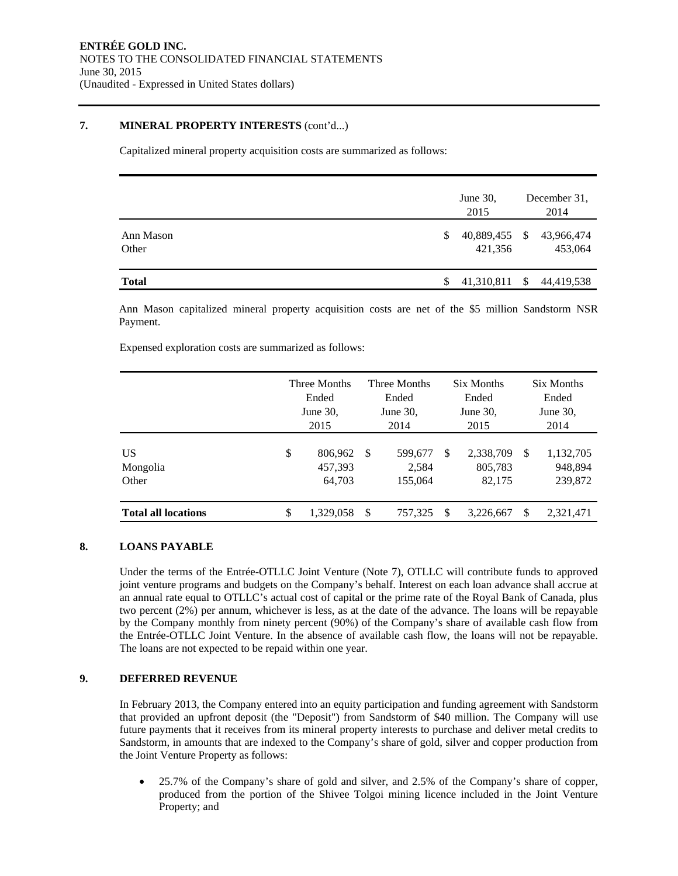#### **7. MINERAL PROPERTY INTERESTS** (cont'd...)

Capitalized mineral property acquisition costs are summarized as follows:

|                    |   | June $30$ ,<br>2015      |    | December 31,<br>2014  |
|--------------------|---|--------------------------|----|-----------------------|
| Ann Mason<br>Other | S | 40,889,455 \$<br>421,356 |    | 43,966,474<br>453,064 |
| <b>Total</b>       |   | 41,310,811               | -S | 44,419,538            |

Ann Mason capitalized mineral property acquisition costs are net of the \$5 million Sandstorm NSR Payment.

Expensed exploration costs are summarized as follows:

|                            | Three Months<br>Ended<br>June 30,<br>2015 |                              |    | Three Months<br>Ended<br>June $30$ ,<br>2014 |   | Six Months<br>Ended<br>June $30$ ,<br>2015 | Six Months<br>Ended<br>June $30$ ,<br>2014 |                                 |  |
|----------------------------|-------------------------------------------|------------------------------|----|----------------------------------------------|---|--------------------------------------------|--------------------------------------------|---------------------------------|--|
| US<br>Mongolia<br>Other    | \$                                        | 806,962<br>457,393<br>64,703 | -S | 599,677<br>2,584<br>155,064                  | S | 2,338,709<br>805,783<br>82.175             | <sup>\$</sup>                              | 1,132,705<br>948,894<br>239,872 |  |
| <b>Total all locations</b> | \$                                        | 1.329.058                    | S  | 757.325                                      | S | 3,226,667                                  | \$.                                        | 2,321,471                       |  |

### **8. LOANS PAYABLE**

Under the terms of the Entrée-OTLLC Joint Venture (Note 7), OTLLC will contribute funds to approved joint venture programs and budgets on the Company's behalf. Interest on each loan advance shall accrue at an annual rate equal to OTLLC's actual cost of capital or the prime rate of the Royal Bank of Canada, plus two percent (2%) per annum, whichever is less, as at the date of the advance. The loans will be repayable by the Company monthly from ninety percent (90%) of the Company's share of available cash flow from the Entrée-OTLLC Joint Venture. In the absence of available cash flow, the loans will not be repayable. The loans are not expected to be repaid within one year.

#### **9. DEFERRED REVENUE**

In February 2013, the Company entered into an equity participation and funding agreement with Sandstorm that provided an upfront deposit (the "Deposit") from Sandstorm of \$40 million. The Company will use future payments that it receives from its mineral property interests to purchase and deliver metal credits to Sandstorm, in amounts that are indexed to the Company's share of gold, silver and copper production from the Joint Venture Property as follows:

 25.7% of the Company's share of gold and silver, and 2.5% of the Company's share of copper, produced from the portion of the Shivee Tolgoi mining licence included in the Joint Venture Property; and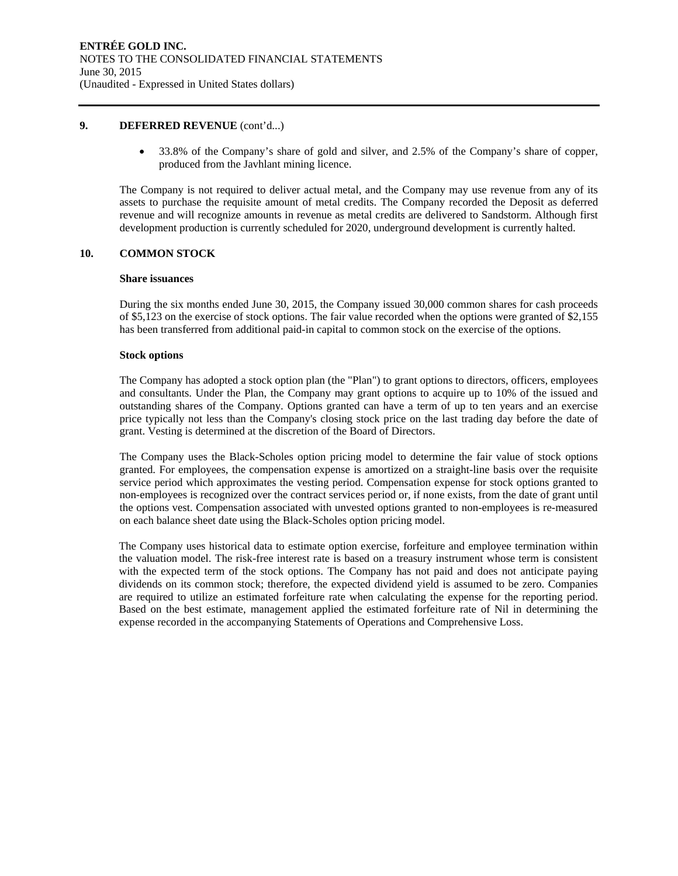#### **9. DEFERRED REVENUE** (cont'd...)

 33.8% of the Company's share of gold and silver, and 2.5% of the Company's share of copper, produced from the Javhlant mining licence.

The Company is not required to deliver actual metal, and the Company may use revenue from any of its assets to purchase the requisite amount of metal credits. The Company recorded the Deposit as deferred revenue and will recognize amounts in revenue as metal credits are delivered to Sandstorm. Although first development production is currently scheduled for 2020, underground development is currently halted.

#### **10. COMMON STOCK**

#### **Share issuances**

During the six months ended June 30, 2015, the Company issued 30,000 common shares for cash proceeds of \$5,123 on the exercise of stock options. The fair value recorded when the options were granted of \$2,155 has been transferred from additional paid-in capital to common stock on the exercise of the options.

#### **Stock options**

The Company has adopted a stock option plan (the "Plan") to grant options to directors, officers, employees and consultants. Under the Plan, the Company may grant options to acquire up to 10% of the issued and outstanding shares of the Company. Options granted can have a term of up to ten years and an exercise price typically not less than the Company's closing stock price on the last trading day before the date of grant. Vesting is determined at the discretion of the Board of Directors.

The Company uses the Black-Scholes option pricing model to determine the fair value of stock options granted. For employees, the compensation expense is amortized on a straight-line basis over the requisite service period which approximates the vesting period. Compensation expense for stock options granted to non-employees is recognized over the contract services period or, if none exists, from the date of grant until the options vest. Compensation associated with unvested options granted to non-employees is re-measured on each balance sheet date using the Black-Scholes option pricing model.

The Company uses historical data to estimate option exercise, forfeiture and employee termination within the valuation model. The risk-free interest rate is based on a treasury instrument whose term is consistent with the expected term of the stock options. The Company has not paid and does not anticipate paying dividends on its common stock; therefore, the expected dividend yield is assumed to be zero. Companies are required to utilize an estimated forfeiture rate when calculating the expense for the reporting period. Based on the best estimate, management applied the estimated forfeiture rate of Nil in determining the expense recorded in the accompanying Statements of Operations and Comprehensive Loss.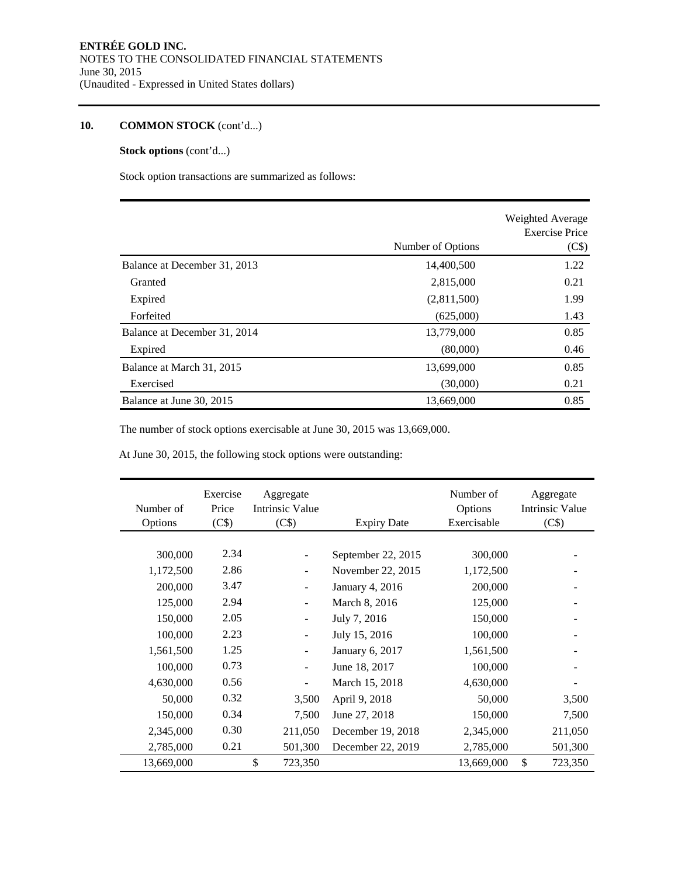## **10. COMMON STOCK** (cont'd...)

### **Stock options** (cont'd...)

Stock option transactions are summarized as follows:

|                              |                   | Weighted Average<br><b>Exercise Price</b> |
|------------------------------|-------------------|-------------------------------------------|
|                              | Number of Options | (C\$)                                     |
| Balance at December 31, 2013 | 14,400,500        | 1.22                                      |
| Granted                      | 2,815,000         | 0.21                                      |
| Expired                      | (2,811,500)       | 1.99                                      |
| Forfeited                    | (625,000)         | 1.43                                      |
| Balance at December 31, 2014 | 13,779,000        | 0.85                                      |
| Expired                      | (80,000)          | 0.46                                      |
| Balance at March 31, 2015    | 13,699,000        | 0.85                                      |
| Exercised                    | (30,000)          | 0.21                                      |
| Balance at June 30, 2015     | 13,669,000        | 0.85                                      |

The number of stock options exercisable at June 30, 2015 was 13,669,000.

At June 30, 2015, the following stock options were outstanding:

| Number of<br>Options | Exercise<br>Price<br>(C\$) | Aggregate<br>Intrinsic Value<br>(C\$) | <b>Expiry Date</b> | Number of<br>Options<br>Exercisable | Aggregate<br><b>Intrinsic Value</b><br>(C\$) |
|----------------------|----------------------------|---------------------------------------|--------------------|-------------------------------------|----------------------------------------------|
|                      |                            |                                       |                    |                                     |                                              |
| 300,000              | 2.34                       |                                       | September 22, 2015 | 300,000                             |                                              |
| 1,172,500            | 2.86                       |                                       | November 22, 2015  | 1,172,500                           |                                              |
| 200,000              | 3.47                       |                                       | January 4, 2016    | 200,000                             |                                              |
| 125,000              | 2.94                       |                                       | March 8, 2016      | 125,000                             |                                              |
| 150,000              | 2.05                       | ۰                                     | July 7, 2016       | 150,000                             |                                              |
| 100,000              | 2.23                       |                                       | July 15, 2016      | 100,000                             |                                              |
| 1,561,500            | 1.25                       |                                       | January 6, 2017    | 1,561,500                           |                                              |
| 100,000              | 0.73                       |                                       | June 18, 2017      | 100,000                             |                                              |
| 4,630,000            | 0.56                       |                                       | March 15, 2018     | 4,630,000                           |                                              |
| 50,000               | 0.32                       | 3,500                                 | April 9, 2018      | 50,000                              | 3,500                                        |
| 150,000              | 0.34                       | 7,500                                 | June 27, 2018      | 150,000                             | 7,500                                        |
| 2,345,000            | 0.30                       | 211,050                               | December 19, 2018  | 2,345,000                           | 211,050                                      |
| 2,785,000            | 0.21                       | 501,300                               | December 22, 2019  | 2,785,000                           | 501,300                                      |
| 13,669,000           |                            | \$<br>723,350                         |                    | 13,669,000                          | \$<br>723,350                                |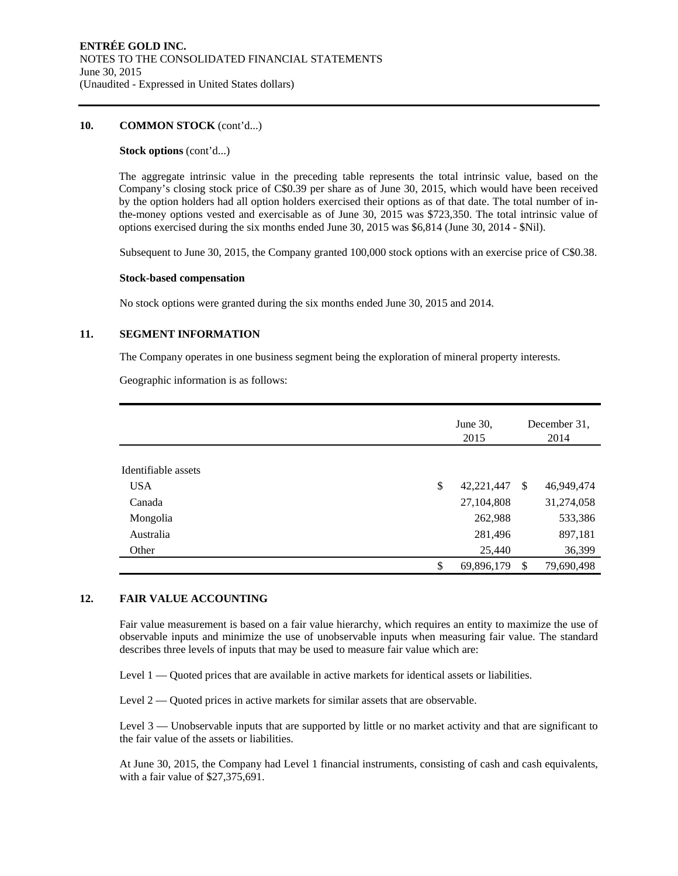#### **10. COMMON STOCK** (cont'd...)

#### **Stock options** (cont'd...)

The aggregate intrinsic value in the preceding table represents the total intrinsic value, based on the Company's closing stock price of C\$0.39 per share as of June 30, 2015, which would have been received by the option holders had all option holders exercised their options as of that date. The total number of inthe-money options vested and exercisable as of June 30, 2015 was \$723,350. The total intrinsic value of options exercised during the six months ended June 30, 2015 was \$6,814 (June 30, 2014 - \$Nil).

Subsequent to June 30, 2015, the Company granted 100,000 stock options with an exercise price of C\$0.38.

#### **Stock-based compensation**

No stock options were granted during the six months ended June 30, 2015 and 2014.

#### **11. SEGMENT INFORMATION**

The Company operates in one business segment being the exploration of mineral property interests.

Geographic information is as follows:

|                     | June 30,<br>2015 |    | December 31,<br>2014 |
|---------------------|------------------|----|----------------------|
|                     |                  |    |                      |
| Identifiable assets |                  |    |                      |
| <b>USA</b>          | \$<br>42,221,447 | -S | 46,949,474           |
| Canada              | 27,104,808       |    | 31,274,058           |
| Mongolia            | 262,988          |    | 533,386              |
| Australia           | 281,496          |    | 897,181              |
| Other               | 25,440           |    | 36,399               |
|                     | \$<br>69,896,179 | -S | 79,690,498           |

#### **12. FAIR VALUE ACCOUNTING**

Fair value measurement is based on a fair value hierarchy, which requires an entity to maximize the use of observable inputs and minimize the use of unobservable inputs when measuring fair value. The standard describes three levels of inputs that may be used to measure fair value which are:

Level 1 — Quoted prices that are available in active markets for identical assets or liabilities.

Level 2 — Quoted prices in active markets for similar assets that are observable.

Level 3 — Unobservable inputs that are supported by little or no market activity and that are significant to the fair value of the assets or liabilities.

At June 30, 2015, the Company had Level 1 financial instruments, consisting of cash and cash equivalents, with a fair value of \$27,375,691.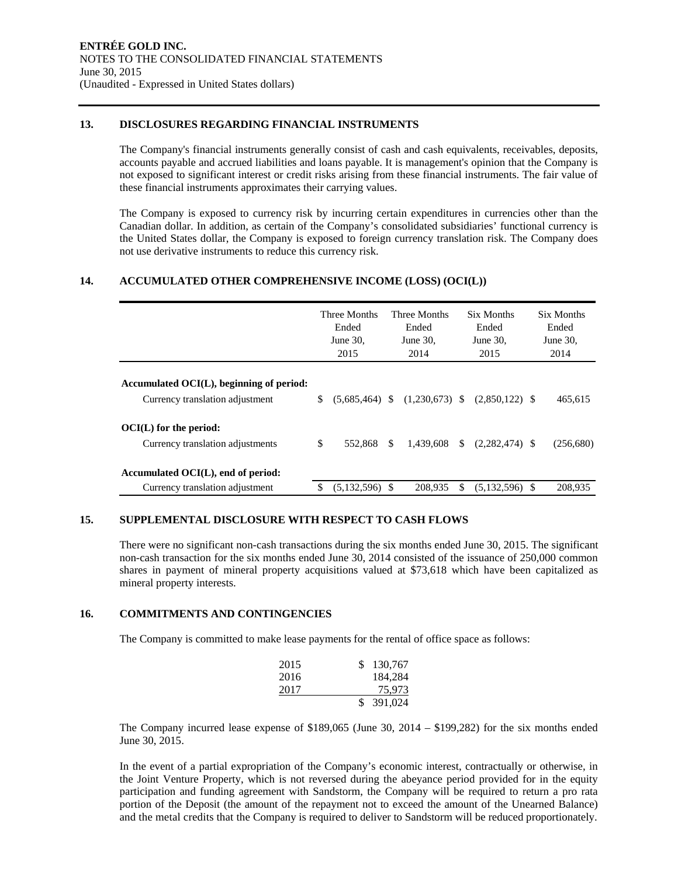#### **13. DISCLOSURES REGARDING FINANCIAL INSTRUMENTS**

The Company's financial instruments generally consist of cash and cash equivalents, receivables, deposits, accounts payable and accrued liabilities and loans payable. It is management's opinion that the Company is not exposed to significant interest or credit risks arising from these financial instruments. The fair value of these financial instruments approximates their carrying values.

The Company is exposed to currency risk by incurring certain expenditures in currencies other than the Canadian dollar. In addition, as certain of the Company's consolidated subsidiaries' functional currency is the United States dollar, the Company is exposed to foreign currency translation risk. The Company does not use derivative instruments to reduce this currency risk.

#### **14. ACCUMULATED OTHER COMPREHENSIVE INCOME (LOSS) (OCI(L))**

|                                          |    | Three Months<br>Ended<br>June 30.<br>2015 |     | Three Months<br>Ended<br>June $30$ .<br>2014 |     | Six Months<br>Ended<br>June $30$ .<br>2015 | Six Months<br>Ended<br>June $30$ .<br>2014 |
|------------------------------------------|----|-------------------------------------------|-----|----------------------------------------------|-----|--------------------------------------------|--------------------------------------------|
| Accumulated OCI(L), beginning of period: |    |                                           |     |                                              |     |                                            |                                            |
|                                          |    |                                           |     |                                              |     |                                            |                                            |
| Currency translation adjustment          | S  | $(5.685.464)$ \$                          |     | $(1,230,673)$ \$                             |     | $(2,850,122)$ \$                           | 465,615                                    |
| OCI(L) for the period:                   |    |                                           |     |                                              |     |                                            |                                            |
| Currency translation adjustments         | \$ | 552,868                                   | \$. | 1.439.608                                    | \$  | $(2,282,474)$ \$                           | (256,680)                                  |
| Accumulated OCI(L), end of period:       |    |                                           |     |                                              |     |                                            |                                            |
| Currency translation adjustment          | S  | $(5,132,596)$ \$                          |     | 208.935                                      | \$. | $(5,132,596)$ \$                           | 208,935                                    |

#### **15. SUPPLEMENTAL DISCLOSURE WITH RESPECT TO CASH FLOWS**

There were no significant non-cash transactions during the six months ended June 30, 2015. The significant non-cash transaction for the six months ended June 30, 2014 consisted of the issuance of 250,000 common shares in payment of mineral property acquisitions valued at \$73,618 which have been capitalized as mineral property interests.

#### **16. COMMITMENTS AND CONTINGENCIES**

The Company is committed to make lease payments for the rental of office space as follows:

| 2015 | \$130,767 |
|------|-----------|
| 2016 | 184,284   |
| 2017 | 75.973    |
|      | 391,024   |

The Company incurred lease expense of \$189,065 (June 30, 2014 – \$199,282) for the six months ended June 30, 2015.

In the event of a partial expropriation of the Company's economic interest, contractually or otherwise, in the Joint Venture Property, which is not reversed during the abeyance period provided for in the equity participation and funding agreement with Sandstorm, the Company will be required to return a pro rata portion of the Deposit (the amount of the repayment not to exceed the amount of the Unearned Balance) and the metal credits that the Company is required to deliver to Sandstorm will be reduced proportionately.